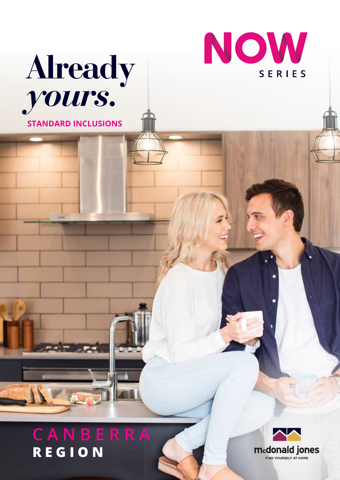



# **REGION**

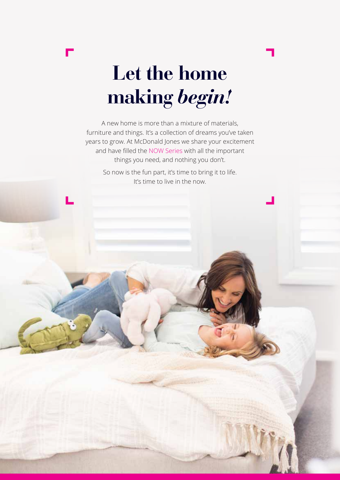

## **Let the home making** *begin!*

A new home is more than a mixture of materials, furniture and things. It's a collection of dreams you've taken years to grow. At McDonald Jones we share your excitement and have filled the NOW Series with all the important things you need, and nothing you don't.

> So now is the fun part, it's time to bring it to life. It's time to live in the now.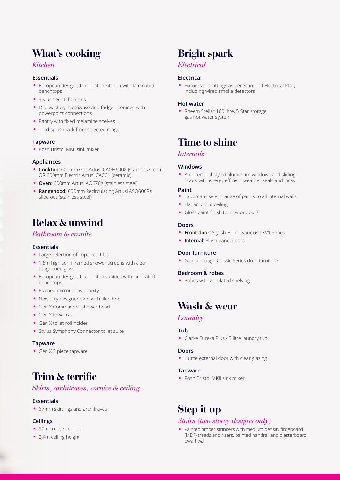## **What's cooking**

#### *Kitchen*

#### **Essentials**

- European designed laminated kitchen with laminated benchtops
- Stylus 1¾ kitchen sink
- Dishwasher, microwave and fridge openings with powerpoint connections
- Pantry with fixed melamine shelves
- Tiled splashback from selected range

#### **Tapware**

• Posh Bristol MKII sink mixer

#### **Appliances**

- **Cooktop:** 600mm Gas Artusi CAGH600X (stainless steel) OR 600mm Electric Artusi CACC1 (ceramic)
- **Oven:** 600mm Artusi AO676X (stainless steel)
- **Rangehood:** 600mm Recirculating Artusi ASO600RX slide out (stainless steel)

## **Relax & unwind**

#### *Bathroom & ensuite*

#### **Essentials**

- Large selection of imported tiles
- 1.8m high semi framed shower screens with clear toughened glass
- European designed laminated vanities with laminated benchtops
- Framed mirror above vanity
- Newbury designer bath with tiled hob
- Gen X Commander shower head
- Gen X towel rail
- Gen X toilet roll holder
- Stylus Symphony Connector toilet suite

#### **Tapware**

• Gen X 3 piece tapware

## **Trim & terrific**

#### *Skirts, architraves, cornice & ceiling*

#### **Essentials**

• 67mm skirtings and architraves

#### **Ceilings**

- 90mm cove cornice
- 2.4m ceiling height

## **Bright spark**

#### *Electrical*

#### **Electrical**

• Fixtures and fittings as per Standard Electrical Plan, including wired smoke detectors

#### **Hot water**

• Rheem Stellar 160 litre, 5 Star storage gas hot water system

## **Time to shine**

#### *Internals*

#### **Windows**

• Architectural styled aluminium windows and sliding doors with energy efficient weather seals and locks

#### **Paint**

- Taubmans select range of paints to all internal walls
- Flat acrylic to ceiling
- Gloss paint finish to interior doors

#### **Doors**

- **Front door:** Stylish Hume Vaucluse XV1 Series
- **Internal:** Flush panel doors

#### **Door furniture**

• Gainsborough Classic Series door furniture

#### **Bedroom & robes**

• Robes with ventilated shelving

### **Wash & wear**

#### *Laundry*

#### **Tub**

• Clarke Eureka Plus 45 litre laundry tub

#### **Doors**

• Hume external door with clear glazing

#### **Tapware**

• Posh Bristol MKII sink mixer

## **Step it up**

#### *Stairs (two storey designs only)*

• Painted timber stringers with medium density fibreboard (MDF) treads and risers, painted handrail and plasterboard dwarf wall